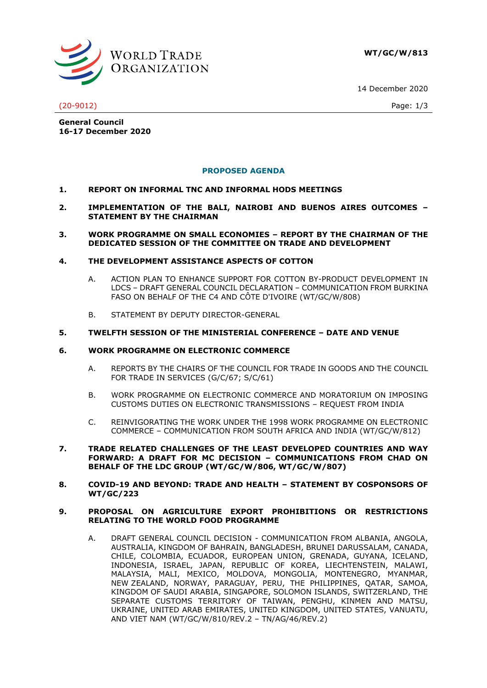**WT/GC/W/813**

14 December 2020



(20-9012) Page: 1/3

**General Council 16-17 December 2020**

## **PROPOSED AGENDA**

- **1. REPORT ON INFORMAL TNC AND INFORMAL HODS MEETINGS**
- **2. IMPLEMENTATION OF THE BALI, NAIROBI AND BUENOS AIRES OUTCOMES – STATEMENT BY THE CHAIRMAN**
- **3. WORK PROGRAMME ON SMALL ECONOMIES – REPORT BY THE CHAIRMAN OF THE DEDICATED SESSION OF THE COMMITTEE ON TRADE AND DEVELOPMENT**

## **4. THE DEVELOPMENT ASSISTANCE ASPECTS OF COTTON**

- A. ACTION PLAN TO ENHANCE SUPPORT FOR COTTON BY-PRODUCT DEVELOPMENT IN LDCS – DRAFT GENERAL COUNCIL DECLARATION – COMMUNICATION FROM BURKINA FASO ON BEHALF OF THE C4 AND CÔTE D'IVOIRE (WT/GC/W/808)
- B. STATEMENT BY DEPUTY DIRECTOR-GENERAL

## **5. TWELFTH SESSION OF THE MINISTERIAL CONFERENCE – DATE AND VENUE**

## **6. WORK PROGRAMME ON ELECTRONIC COMMERCE**

- A. REPORTS BY THE CHAIRS OF THE COUNCIL FOR TRADE IN GOODS AND THE COUNCIL FOR TRADE IN SERVICES (G/C/67; S/C/61)
- B. WORK PROGRAMME ON ELECTRONIC COMMERCE AND MORATORIUM ON IMPOSING CUSTOMS DUTIES ON ELECTRONIC TRANSMISSIONS – REQUEST FROM INDIA
- C. REINVIGORATING THE WORK UNDER THE 1998 WORK PROGRAMME ON ELECTRONIC COMMERCE – COMMUNICATION FROM SOUTH AFRICA AND INDIA (WT/GC/W/812)
- **7. TRADE RELATED CHALLENGES OF THE LEAST DEVELOPED COUNTRIES AND WAY FORWARD: A DRAFT FOR MC DECISION – COMMUNICATIONS FROM CHAD ON BEHALF OF THE LDC GROUP (WT/GC/W/806, WT/GC/W/807)**
- **8. COVID-19 AND BEYOND: TRADE AND HEALTH – STATEMENT BY COSPONSORS OF WT/GC/223**

### **9. PROPOSAL ON AGRICULTURE EXPORT PROHIBITIONS OR RESTRICTIONS RELATING TO THE WORLD FOOD PROGRAMME**

A. DRAFT GENERAL COUNCIL DECISION - COMMUNICATION FROM ALBANIA, ANGOLA, AUSTRALIA, KINGDOM OF BAHRAIN, BANGLADESH, BRUNEI DARUSSALAM, CANADA, CHILE, COLOMBIA, ECUADOR, EUROPEAN UNION, GRENADA, GUYANA, ICELAND, INDONESIA, ISRAEL, JAPAN, REPUBLIC OF KOREA, LIECHTENSTEIN, MALAWI, MALAYSIA, MALI, MEXICO, MOLDOVA, MONGOLIA, MONTENEGRO, MYANMAR, NEW ZEALAND, NORWAY, PARAGUAY, PERU, THE PHILIPPINES, QATAR, SAMOA, KINGDOM OF SAUDI ARABIA, SINGAPORE, SOLOMON ISLANDS, SWITZERLAND, THE SEPARATE CUSTOMS TERRITORY OF TAIWAN, PENGHU, KINMEN AND MATSU, UKRAINE, UNITED ARAB EMIRATES, UNITED KINGDOM, UNITED STATES, VANUATU, AND VIET NAM (WT/GC/W/810/REV.2 – TN/AG/46/REV.2)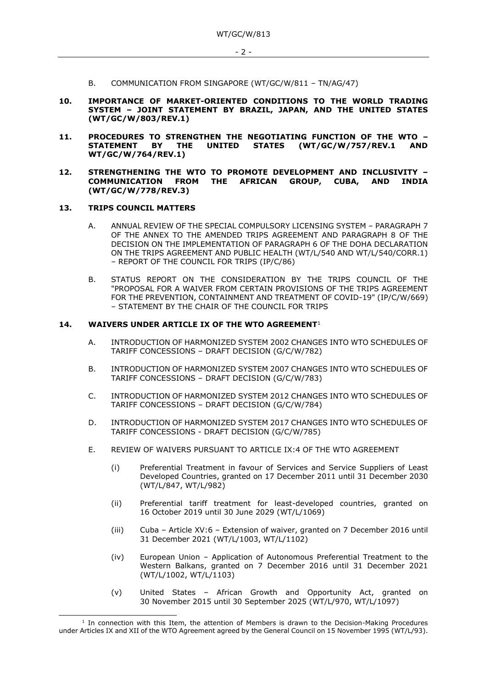- B. COMMUNICATION FROM SINGAPORE (WT/GC/W/811 TN/AG/47)
- **10. IMPORTANCE OF MARKET-ORIENTED CONDITIONS TO THE WORLD TRADING SYSTEM – JOINT STATEMENT BY BRAZIL, JAPAN, AND THE UNITED STATES (WT/GC/W/803/REV.1)**
- **11. PROCEDURES TO STRENGTHEN THE NEGOTIATING FUNCTION OF THE WTO – STATEMENT BY THE UNITED STATES (WT/GC/W/757/REV.1 AND WT/GC/W/764/REV.1)**
- **12. STRENGTHENING THE WTO TO PROMOTE DEVELOPMENT AND INCLUSIVITY – COMMUNICATION FROM THE AFRICAN GROUP, CUBA, AND INDIA (WT/GC/W/778/REV.3)**

### **13. TRIPS COUNCIL MATTERS**

- A. ANNUAL REVIEW OF THE SPECIAL COMPULSORY LICENSING SYSTEM PARAGRAPH 7 OF THE ANNEX TO THE AMENDED TRIPS AGREEMENT AND PARAGRAPH 8 OF THE DECISION ON THE IMPLEMENTATION OF PARAGRAPH 6 OF THE DOHA DECLARATION ON THE TRIPS AGREEMENT AND PUBLIC HEALTH (WT/L/540 AND WT/L/540/CORR.1) – REPORT OF THE COUNCIL FOR TRIPS (IP/C/86)
- B. STATUS REPORT ON THE CONSIDERATION BY THE TRIPS COUNCIL OF THE "PROPOSAL FOR A WAIVER FROM CERTAIN PROVISIONS OF THE TRIPS AGREEMENT FOR THE PREVENTION, CONTAINMENT AND TREATMENT OF COVID-19" (IP/C/W/669) – STATEMENT BY THE CHAIR OF THE COUNCIL FOR TRIPS

#### **14. WAIVERS UNDER ARTICLE IX OF THE WTO AGREEMENT**<sup>1</sup>

- A. INTRODUCTION OF HARMONIZED SYSTEM 2002 CHANGES INTO WTO SCHEDULES OF TARIFF CONCESSIONS – DRAFT DECISION (G/C/W/782)
- B. INTRODUCTION OF HARMONIZED SYSTEM 2007 CHANGES INTO WTO SCHEDULES OF TARIFF CONCESSIONS – DRAFT DECISION (G/C/W/783)
- C. INTRODUCTION OF HARMONIZED SYSTEM 2012 CHANGES INTO WTO SCHEDULES OF TARIFF CONCESSIONS – DRAFT DECISION (G/C/W/784)
- D. INTRODUCTION OF HARMONIZED SYSTEM 2017 CHANGES INTO WTO SCHEDULES OF TARIFF CONCESSIONS - DRAFT DECISION (G/C/W/785)
- E. REVIEW OF WAIVERS PURSUANT TO ARTICLE IX:4 OF THE WTO AGREEMENT
	- (i) Preferential Treatment in favour of Services and Service Suppliers of Least Developed Countries, granted on 17 December 2011 until 31 December 2030 (WT/L/847, WT/L/982)
	- (ii) Preferential tariff treatment for least-developed countries, granted on 16 October 2019 until 30 June 2029 (WT/L/1069)
	- (iii) Cuba Article XV:6 Extension of waiver, granted on 7 December 2016 until 31 December 2021 (WT/L/1003, WT/L/1102)
	- (iv) European Union Application of Autonomous Preferential Treatment to the Western Balkans, granted on 7 December 2016 until 31 December 2021 (WT/L/1002, WT/L/1103)
	- (v) United States African Growth and Opportunity Act, granted on 30 November 2015 until 30 September 2025 (WT/L/970, WT/L/1097)

<sup>&</sup>lt;sup>1</sup> In connection with this Item, the attention of Members is drawn to the Decision-Making Procedures under Articles IX and XII of the WTO Agreement agreed by the General Council on 15 November 1995 (WT/L/93).